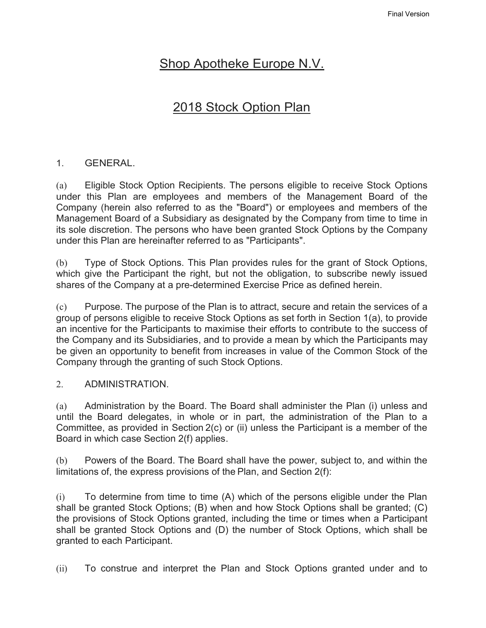# Shop Apotheke Europe N.V.

# 2018 Stock Option Plan

## 1. GENERAL.

(a) Eligible Stock Option Recipients. The persons eligible to receive Stock Options under this Plan are employees and members of the Management Board of the Company (herein also referred to as the "Board") or employees and members of the Management Board of a Subsidiary as designated by the Company from time to time in its sole discretion. The persons who have been granted Stock Options by the Company under this Plan are hereinafter referred to as "Participants".

(b) Type of Stock Options. This Plan provides rules for the grant of Stock Options, which give the Participant the right, but not the obligation, to subscribe newly issued shares of the Company at a pre-determined Exercise Price as defined herein.

(c) Purpose. The purpose of the Plan is to attract, secure and retain the services of a group of persons eligible to receive Stock Options as set forth in Section 1(a), to provide an incentive for the Participants to maximise their efforts to contribute to the success of the Company and its Subsidiaries, and to provide a mean by which the Participants may be given an opportunity to benefit from increases in value of the Common Stock of the Company through the granting of such Stock Options.

### 2. ADMINISTRATION.

(a) Administration by the Board. The Board shall administer the Plan (i) unless and until the Board delegates, in whole or in part, the administration of the Plan to a Committee, as provided in Section 2(c) or (ii) unless the Participant is a member of the Board in which case Section 2(f) applies.

(b) Powers of the Board. The Board shall have the power, subject to, and within the limitations of, the express provisions of the Plan, and Section 2(f):

(i) To determine from time to time (A) which of the persons eligible under the Plan shall be granted Stock Options; (B) when and how Stock Options shall be granted; (C) the provisions of Stock Options granted, including the time or times when a Participant shall be granted Stock Options and (D) the number of Stock Options, which shall be granted to each Participant.

(ii) To construe and interpret the Plan and Stock Options granted under and to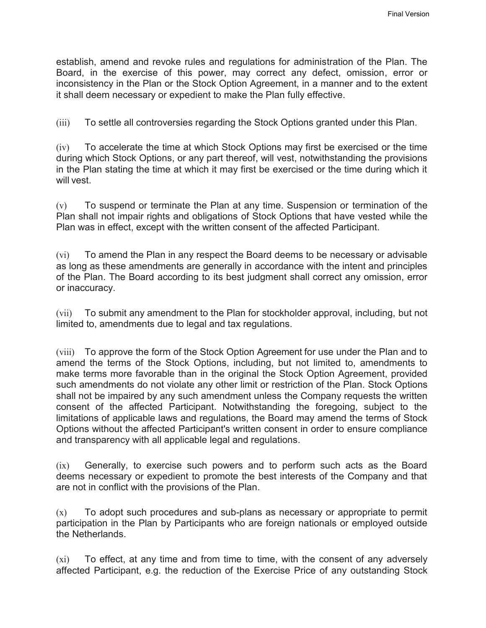establish, amend and revoke rules and regulations for administration of the Plan. The Board, in the exercise of this power, may correct any defect, omission, error or inconsistency in the Plan or the Stock Option Agreement, in a manner and to the extent it shall deem necessary or expedient to make the Plan fully effective.

(iii) To settle all controversies regarding the Stock Options granted under this Plan.

(iv) To accelerate the time at which Stock Options may first be exercised or the time during which Stock Options, or any part thereof, will vest, notwithstanding the provisions in the Plan stating the time at which it may first be exercised or the time during which it will vest.

(v) To suspend or terminate the Plan at any time. Suspension or termination of the Plan shall not impair rights and obligations of Stock Options that have vested while the Plan was in effect, except with the written consent of the affected Participant.

(vi) To amend the Plan in any respect the Board deems to be necessary or advisable as long as these amendments are generally in accordance with the intent and principles of the Plan. The Board according to its best judgment shall correct any omission, error or inaccuracy.

(vii) To submit any amendment to the Plan for stockholder approval, including, but not limited to, amendments due to legal and tax regulations.

(viii) To approve the form of the Stock Option Agreement for use under the Plan and to amend the terms of the Stock Options, including, but not limited to, amendments to make terms more favorable than in the original the Stock Option Agreement, provided such amendments do not violate any other limit or restriction of the Plan. Stock Options shall not be impaired by any such amendment unless the Company requests the written consent of the affected Participant. Notwithstanding the foregoing, subject to the limitations of applicable laws and regulations, the Board may amend the terms of Stock Options without the affected Participant's written consent in order to ensure compliance and transparency with all applicable legal and regulations.

(ix) Generally, to exercise such powers and to perform such acts as the Board deems necessary or expedient to promote the best interests of the Company and that are not in conflict with the provisions of the Plan.

(x) To adopt such procedures and sub-plans as necessary or appropriate to permit participation in the Plan by Participants who are foreign nationals or employed outside the Netherlands.

(xi) To effect, at any time and from time to time, with the consent of any adversely affected Participant, e.g. the reduction of the Exercise Price of any outstanding Stock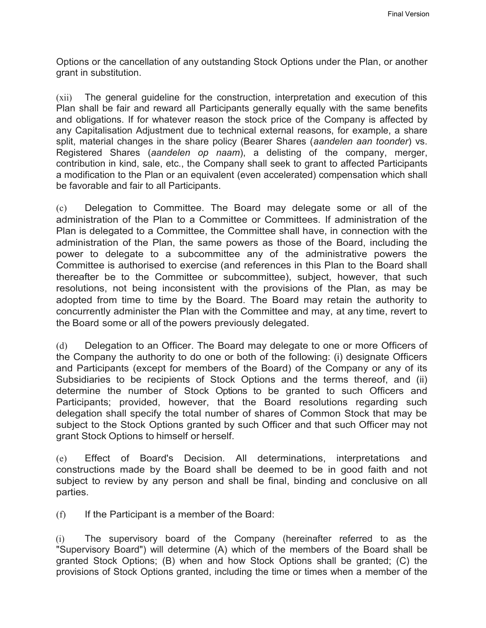Options or the cancellation of any outstanding Stock Options under the Plan, or another grant in substitution.

(xii) The general guideline for the construction, interpretation and execution of this Plan shall be fair and reward all Participants generally equally with the same benefits and obligations. If for whatever reason the stock price of the Company is affected by any Capitalisation Adjustment due to technical external reasons, for example, a share split, material changes in the share policy (Bearer Shares (*aandelen aan toonder*) vs. Registered Shares (*aandelen op naam*), a delisting of the company, merger, contribution in kind, sale, etc., the Company shall seek to grant to affected Participants a modification to the Plan or an equivalent (even accelerated) compensation which shall be favorable and fair to all Participants.

(c) Delegation to Committee. The Board may delegate some or all of the administration of the Plan to a Committee or Committees. If administration of the Plan is delegated to a Committee, the Committee shall have, in connection with the administration of the Plan, the same powers as those of the Board, including the power to delegate to a subcommittee any of the administrative powers the Committee is authorised to exercise (and references in this Plan to the Board shall thereafter be to the Committee or subcommittee), subject, however, that such resolutions, not being inconsistent with the provisions of the Plan, as may be adopted from time to time by the Board. The Board may retain the authority to concurrently administer the Plan with the Committee and may, at any time, revert to the Board some or all of the powers previously delegated.

(d) Delegation to an Officer. The Board may delegate to one or more Officers of the Company the authority to do one or both of the following: (i) designate Officers and Participants (except for members of the Board) of the Company or any of its Subsidiaries to be recipients of Stock Options and the terms thereof, and (ii) determine the number of Stock Options to be granted to such Officers and Participants; provided, however, that the Board resolutions regarding such delegation shall specify the total number of shares of Common Stock that may be subject to the Stock Options granted by such Officer and that such Officer may not grant Stock Options to himself or herself.

(e) Effect of Board's Decision. All determinations, interpretations and constructions made by the Board shall be deemed to be in good faith and not subject to review by any person and shall be final, binding and conclusive on all parties.

 $(f)$  If the Participant is a member of the Board:

(i) The supervisory board of the Company (hereinafter referred to as the "Supervisory Board") will determine (A) which of the members of the Board shall be granted Stock Options; (B) when and how Stock Options shall be granted; (C) the provisions of Stock Options granted, including the time or times when a member of the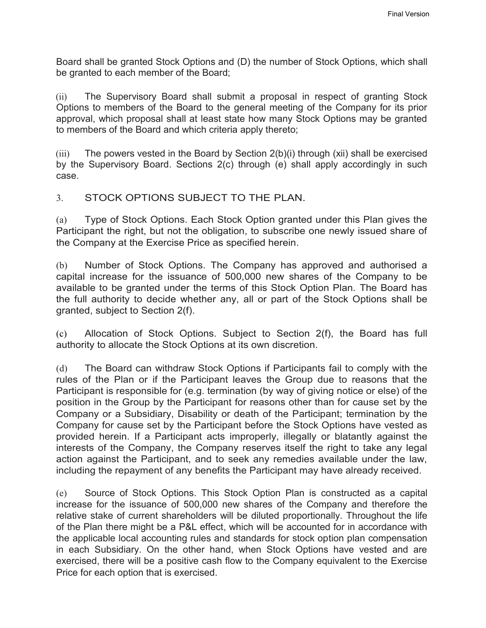Board shall be granted Stock Options and (D) the number of Stock Options, which shall be granted to each member of the Board;

(ii) The Supervisory Board shall submit a proposal in respect of granting Stock Options to members of the Board to the general meeting of the Company for its prior approval, which proposal shall at least state how many Stock Options may be granted to members of the Board and which criteria apply thereto;

(iii) The powers vested in the Board by Section 2(b)(i) through (xii) shall be exercised by the Supervisory Board. Sections 2(c) through (e) shall apply accordingly in such case.

## 3. STOCK OPTIONS SUBJECT TO THE PLAN.

(a) Type of Stock Options. Each Stock Option granted under this Plan gives the Participant the right, but not the obligation, to subscribe one newly issued share of the Company at the Exercise Price as specified herein.

(b) Number of Stock Options. The Company has approved and authorised a capital increase for the issuance of 500,000 new shares of the Company to be available to be granted under the terms of this Stock Option Plan. The Board has the full authority to decide whether any, all or part of the Stock Options shall be granted, subject to Section 2(f).

(c) Allocation of Stock Options. Subject to Section 2(f), the Board has full authority to allocate the Stock Options at its own discretion.

(d) The Board can withdraw Stock Options if Participants fail to comply with the rules of the Plan or if the Participant leaves the Group due to reasons that the Participant is responsible for (e.g. termination (by way of giving notice or else) of the position in the Group by the Participant for reasons other than for cause set by the Company or a Subsidiary, Disability or death of the Participant; termination by the Company for cause set by the Participant before the Stock Options have vested as provided herein. If a Participant acts improperly, illegally or blatantly against the interests of the Company, the Company reserves itself the right to take any legal action against the Participant, and to seek any remedies available under the law, including the repayment of any benefits the Participant may have already received.

(e) Source of Stock Options. This Stock Option Plan is constructed as a capital increase for the issuance of 500,000 new shares of the Company and therefore the relative stake of current shareholders will be diluted proportionally. Throughout the life of the Plan there might be a P&L effect, which will be accounted for in accordance with the applicable local accounting rules and standards for stock option plan compensation in each Subsidiary. On the other hand, when Stock Options have vested and are exercised, there will be a positive cash flow to the Company equivalent to the Exercise Price for each option that is exercised.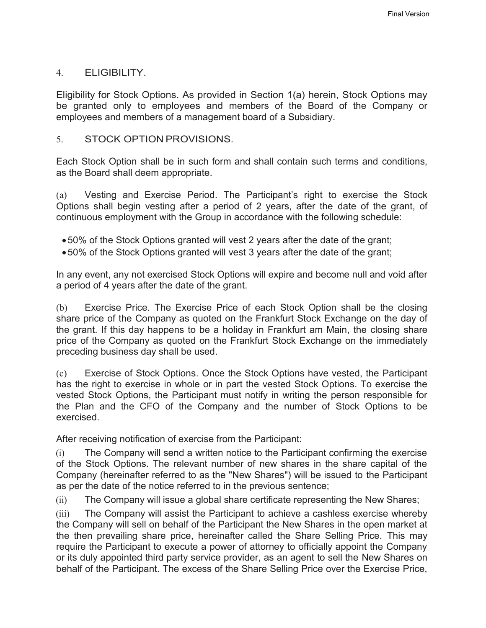#### 4. ELIGIBILITY.

Eligibility for Stock Options. As provided in Section 1(a) herein, Stock Options may be granted only to employees and members of the Board of the Company or employees and members of a management board of a Subsidiary.

#### 5. STOCK OPTION PROVISIONS.

Each Stock Option shall be in such form and shall contain such terms and conditions, as the Board shall deem appropriate.

(a) Vesting and Exercise Period. The Participant's right to exercise the Stock Options shall begin vesting after a period of 2 years, after the date of the grant, of continuous employment with the Group in accordance with the following schedule:

- 50% of the Stock Options granted will vest 2 years after the date of the grant;
- 50% of the Stock Options granted will vest 3 years after the date of the grant;

In any event, any not exercised Stock Options will expire and become null and void after a period of 4 years after the date of the grant.

(b) Exercise Price. The Exercise Price of each Stock Option shall be the closing share price of the Company as quoted on the Frankfurt Stock Exchange on the day of the grant. If this day happens to be a holiday in Frankfurt am Main, the closing share price of the Company as quoted on the Frankfurt Stock Exchange on the immediately preceding business day shall be used.

(c) Exercise of Stock Options. Once the Stock Options have vested, the Participant has the right to exercise in whole or in part the vested Stock Options. To exercise the vested Stock Options, the Participant must notify in writing the person responsible for the Plan and the CFO of the Company and the number of Stock Options to be exercised.

After receiving notification of exercise from the Participant:

(i) The Company will send a written notice to the Participant confirming the exercise of the Stock Options. The relevant number of new shares in the share capital of the Company (hereinafter referred to as the "New Shares") will be issued to the Participant as per the date of the notice referred to in the previous sentence;

(ii) The Company will issue a global share certificate representing the New Shares;

(iii) The Company will assist the Participant to achieve a cashless exercise whereby the Company will sell on behalf of the Participant the New Shares in the open market at the then prevailing share price, hereinafter called the Share Selling Price. This may require the Participant to execute a power of attorney to officially appoint the Company or its duly appointed third party service provider, as an agent to sell the New Shares on behalf of the Participant. The excess of the Share Selling Price over the Exercise Price,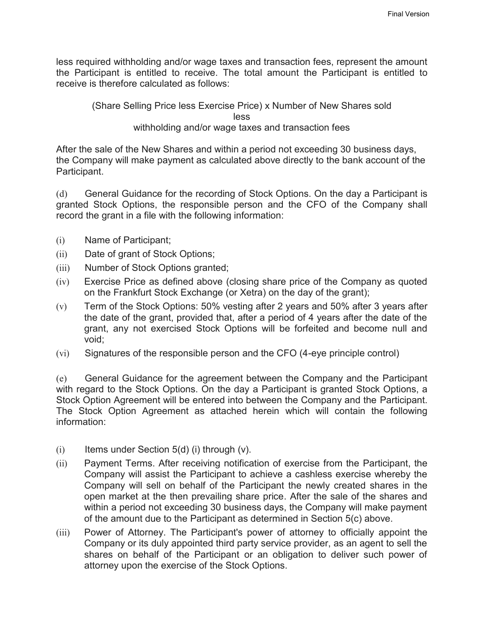less required withholding and/or wage taxes and transaction fees, represent the amount the Participant is entitled to receive. The total amount the Participant is entitled to receive is therefore calculated as follows:

#### (Share Selling Price less Exercise Price) x Number of New Shares sold less withholding and/or wage taxes and transaction fees

After the sale of the New Shares and within a period not exceeding 30 business days, the Company will make payment as calculated above directly to the bank account of the Participant.

(d) General Guidance for the recording of Stock Options. On the day a Participant is granted Stock Options, the responsible person and the CFO of the Company shall record the grant in a file with the following information:

- (i) Name of Participant;
- (ii) Date of grant of Stock Options;
- (iii) Number of Stock Options granted;
- (iv) Exercise Price as defined above (closing share price of the Company as quoted on the Frankfurt Stock Exchange (or Xetra) on the day of the grant);
- (v) Term of the Stock Options: 50% vesting after 2 years and 50% after 3 years after the date of the grant, provided that, after a period of 4 years after the date of the grant, any not exercised Stock Options will be forfeited and become null and void;
- (vi) Signatures of the responsible person and the CFO (4-eye principle control)

(e) General Guidance for the agreement between the Company and the Participant with regard to the Stock Options. On the day a Participant is granted Stock Options, a Stock Option Agreement will be entered into between the Company and the Participant. The Stock Option Agreement as attached herein which will contain the following information:

- $(i)$  Items under Section 5(d) (i) through  $(v)$ .
- (ii) Payment Terms. After receiving notification of exercise from the Participant, the Company will assist the Participant to achieve a cashless exercise whereby the Company will sell on behalf of the Participant the newly created shares in the open market at the then prevailing share price. After the sale of the shares and within a period not exceeding 30 business days, the Company will make payment of the amount due to the Participant as determined in Section 5(c) above.
- (iii) Power of Attorney. The Participant's power of attorney to officially appoint the Company or its duly appointed third party service provider, as an agent to sell the shares on behalf of the Participant or an obligation to deliver such power of attorney upon the exercise of the Stock Options.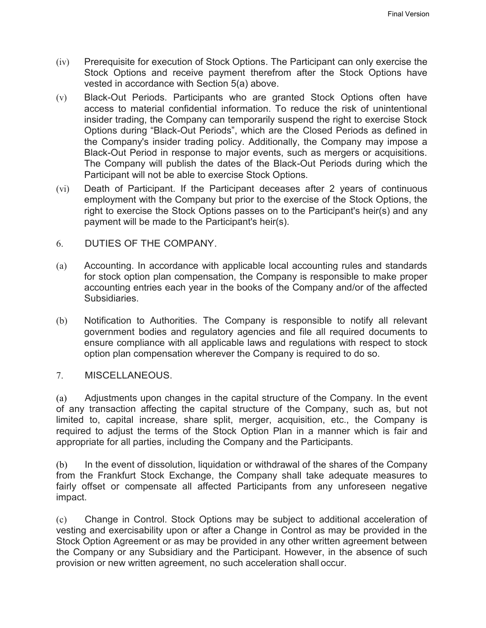- (iv) Prerequisite for execution of Stock Options. The Participant can only exercise the Stock Options and receive payment therefrom after the Stock Options have vested in accordance with Section 5(a) above.
- (v) Black-Out Periods. Participants who are granted Stock Options often have access to material confidential information. To reduce the risk of unintentional insider trading, the Company can temporarily suspend the right to exercise Stock Options during "Black-Out Periods", which are the Closed Periods as defined in the Company's insider trading policy. Additionally, the Company may impose a Black-Out Period in response to major events, such as mergers or acquisitions. The Company will publish the dates of the Black-Out Periods during which the Participant will not be able to exercise Stock Options.
- (vi) Death of Participant. If the Participant deceases after 2 years of continuous employment with the Company but prior to the exercise of the Stock Options, the right to exercise the Stock Options passes on to the Participant's heir(s) and any payment will be made to the Participant's heir(s).
- 6. DUTIES OF THE COMPANY.
- (a) Accounting. In accordance with applicable local accounting rules and standards for stock option plan compensation, the Company is responsible to make proper accounting entries each year in the books of the Company and/or of the affected Subsidiaries.
- (b) Notification to Authorities. The Company is responsible to notify all relevant government bodies and regulatory agencies and file all required documents to ensure compliance with all applicable laws and regulations with respect to stock option plan compensation wherever the Company is required to do so.
- 7. MISCELLANEOUS.

(a) Adjustments upon changes in the capital structure of the Company. In the event of any transaction affecting the capital structure of the Company, such as, but not limited to, capital increase, share split, merger, acquisition, etc., the Company is required to adjust the terms of the Stock Option Plan in a manner which is fair and appropriate for all parties, including the Company and the Participants.

(b) In the event of dissolution, liquidation or withdrawal of the shares of the Company from the Frankfurt Stock Exchange, the Company shall take adequate measures to fairly offset or compensate all affected Participants from any unforeseen negative impact.

(c) Change in Control. Stock Options may be subject to additional acceleration of vesting and exercisability upon or after a Change in Control as may be provided in the Stock Option Agreement or as may be provided in any other written agreement between the Company or any Subsidiary and the Participant. However, in the absence of such provision or new written agreement, no such acceleration shall occur.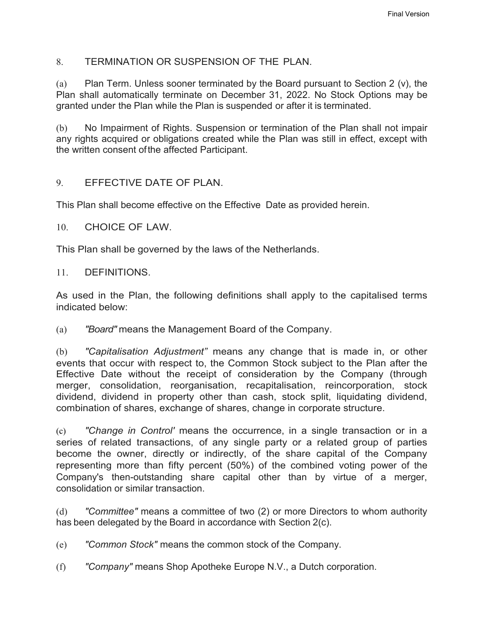### 8. TERMINATION OR SUSPENSION OF THE PLAN.

(a) Plan Term. Unless sooner terminated by the Board pursuant to Section 2 (v), the Plan shall automatically terminate on December 31, 2022. No Stock Options may be granted under the Plan while the Plan is suspended or after it is terminated.

(b) No Impairment of Rights. Suspension or termination of the Plan shall not impair any rights acquired or obligations created while the Plan was still in effect, except with the written consent ofthe affected Participant.

### 9. EFFECTIVE DATE OF PLAN.

This Plan shall become effective on the Effective Date as provided herein.

10. CHOICE OF LAW.

This Plan shall be governed by the laws of the Netherlands.

#### 11. DEFINITIONS.

As used in the Plan, the following definitions shall apply to the capitalised terms indicated below:

(a) *"Board"* means the Management Board of the Company.

(b) *"Capitalisation Adjustment"* means any change that is made in, or other events that occur with respect to, the Common Stock subject to the Plan after the Effective Date without the receipt of consideration by the Company (through merger, consolidation, reorganisation, recapitalisation, reincorporation, stock dividend, dividend in property other than cash, stock split, liquidating dividend, combination of shares, exchange of shares, change in corporate structure.

(c) *"Change in Control'* means the occurrence, in a single transaction or in a series of related transactions, of any single party or a related group of parties become the owner, directly or indirectly, of the share capital of the Company representing more than fifty percent (50%) of the combined voting power of the Company's then-outstanding share capital other than by virtue of a merger, consolidation or similar transaction.

(d) *"Committee"* means a committee of two (2) or more Directors to whom authority has been delegated by the Board in accordance with Section 2(c).

(e) *"Common Stock"* means the common stock of the Company.

(f) *"Company"* means Shop Apotheke Europe N.V., a Dutch corporation.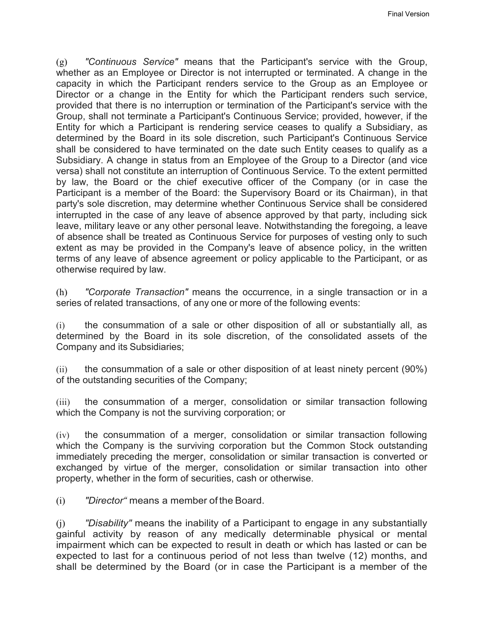(g) *"Continuous Service"* means that the Participant's service with the Group, whether as an Employee or Director is not interrupted or terminated. A change in the capacity in which the Participant renders service to the Group as an Employee or Director or a change in the Entity for which the Participant renders such service, provided that there is no interruption or termination of the Participant's service with the Group, shall not terminate a Participant's Continuous Service; provided, however, if the Entity for which a Participant is rendering service ceases to qualify a Subsidiary, as determined by the Board in its sole discretion, such Participant's Continuous Service shall be considered to have terminated on the date such Entity ceases to qualify as a Subsidiary. A change in status from an Employee of the Group to a Director (and vice versa) shall not constitute an interruption of Continuous Service. To the extent permitted by law, the Board or the chief executive officer of the Company (or in case the Participant is a member of the Board: the Supervisory Board or its Chairman), in that party's sole discretion, may determine whether Continuous Service shall be considered interrupted in the case of any leave of absence approved by that party, including sick leave, military leave or any other personal leave. Notwithstanding the foregoing, a leave of absence shall be treated as Continuous Service for purposes of vesting only to such extent as may be provided in the Company's leave of absence policy, in the written terms of any leave of absence agreement or policy applicable to the Participant, or as otherwise required by law.

(h) *"Corporate Transaction"* means the occurrence, in a single transaction or in a series of related transactions, of any one or more of the following events:

(i) the consummation of a sale or other disposition of all or substantially all, as determined by the Board in its sole discretion, of the consolidated assets of the Company and its Subsidiaries;

 $(i)$  the consummation of a sale or other disposition of at least ninety percent (90%) of the outstanding securities of the Company;

(iii) the consummation of a merger, consolidation or similar transaction following which the Company is not the surviving corporation; or

(iv) the consummation of a merger, consolidation or similar transaction following which the Company is the surviving corporation but the Common Stock outstanding immediately preceding the merger, consolidation or similar transaction is converted or exchanged by virtue of the merger, consolidation or similar transaction into other property, whether in the form of securities, cash or otherwise.

(i) *"Director"* means a member of the Board.

(j) *"Disability"* means the inability of a Participant to engage in any substantially gainful activity by reason of any medically determinable physical or mental impairment which can be expected to result in death or which has lasted or can be expected to last for a continuous period of not less than twelve (12) months, and shall be determined by the Board (or in case the Participant is a member of the